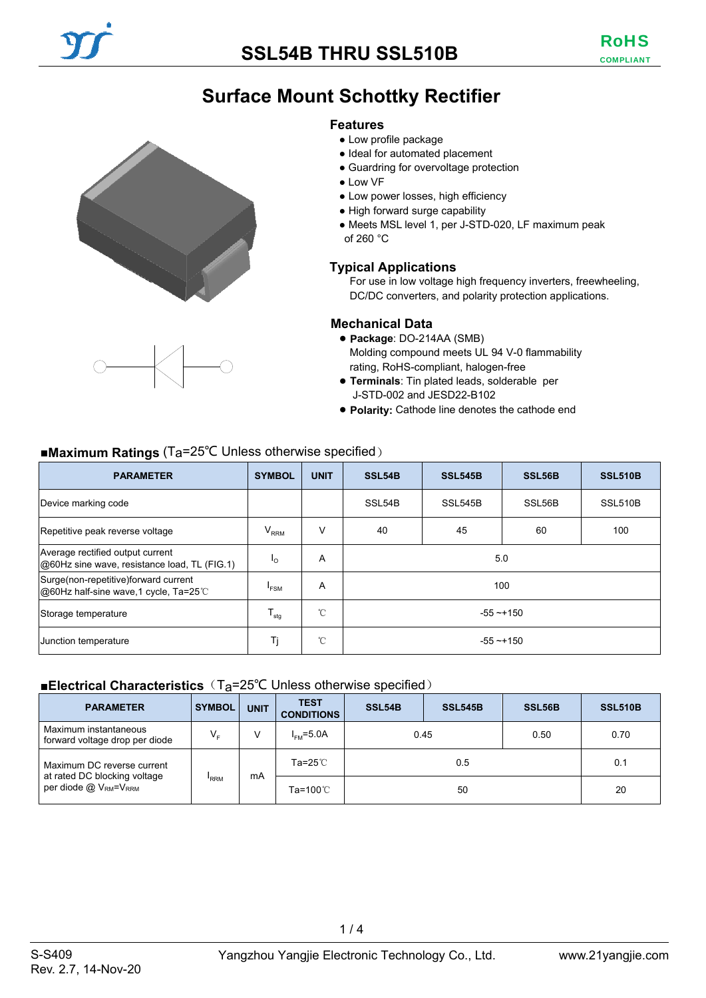## **SSL54B THRU SSL510B**

# **Surface Mount Schottky Rectifier**

#### **Features**

- Low profile package
- Ideal for automated placement
- Guardring for overvoltage protection
- Low VF
- Low power losses, high efficiency
- High forward surge capability
- Meets MSL level 1, per J-STD-020, LF maximum peak of 260 °C

### **Typical Applications**

For use in low voltage high frequency inverters, freewheeling, DC/DC converters, and polarity protection applications.

#### **Mechanical Data**

- **Package**: DO-214AA (SMB) Molding compound meets UL 94 V-0 flammability rating, RoHS-compliant, halogen-free
- **Terminals**: Tin plated leads, solderable per J-STD-002 and JESD22-B102
- **Polarity:** Cathode line denotes the cathode end

|  |  | ■Maximum Ratings ( $Ta=25^{\circ}C$ Unless otherwise specified) |
|--|--|-----------------------------------------------------------------|
|--|--|-----------------------------------------------------------------|

| <b>PARAMETER</b>                                                                 | <b>SYMBOL</b>       | <b>UNIT</b>  | SSL54B       | <b>SSL545B</b> | SSL56B | <b>SSL510B</b> |
|----------------------------------------------------------------------------------|---------------------|--------------|--------------|----------------|--------|----------------|
| Device marking code                                                              |                     |              | SSL54B       | SSL545B        | SSL56B | SSL510B        |
| Repetitive peak reverse voltage                                                  | $V_{RRM}$           | V            | 40           | 45             | 60     | 100            |
| Average rectified output current<br>@60Hz sine wave, resistance load, TL (FIG.1) | $I_{\Omega}$        | A            | 5.0          |                |        |                |
| Surge(non-repetitive)forward current<br>@60Hz half-sine wave,1 cycle, Ta=25°C    | <b>FSM</b>          | A            | 100          |                |        |                |
| Storage temperature                                                              | ${\sf T}_{\sf stg}$ | $^{\circ}$ C | $-55 - +150$ |                |        |                |
| Junction temperature                                                             | Tj                  | $^{\circ}$ C | $-55 - +150$ |                |        |                |

#### ■**Electrical Characteristics** (T<sub>a</sub>=25<sup>°</sup>C Unless otherwise specified)

| <b>PARAMETER</b>                                                          | <b>SYMBOL</b>               | <b>UNIT</b> | <b>TEST</b><br><b>CONDITIONS</b> | SSL54B | <b>SSL545B</b> | SSL56B | <b>SSL510B</b> |
|---------------------------------------------------------------------------|-----------------------------|-------------|----------------------------------|--------|----------------|--------|----------------|
| Maximum instantaneous<br>forward voltage drop per diode                   | $V_{\rm r}$                 | V           | $I_{FMS} = 5.0A$                 | 0.45   |                | 0.50   | 0.70           |
| Maximum DC reverse current                                                |                             |             | Ta=25 $^{\circ}$ C               | 0.5    |                | 0.1    |                |
| at rated DC blocking voltage<br>per diode $@V_{\text{RM}}=V_{\text{RRM}}$ | mA<br><b>RRM</b><br>Ta=100℃ |             |                                  | 50     |                | 20     |                |

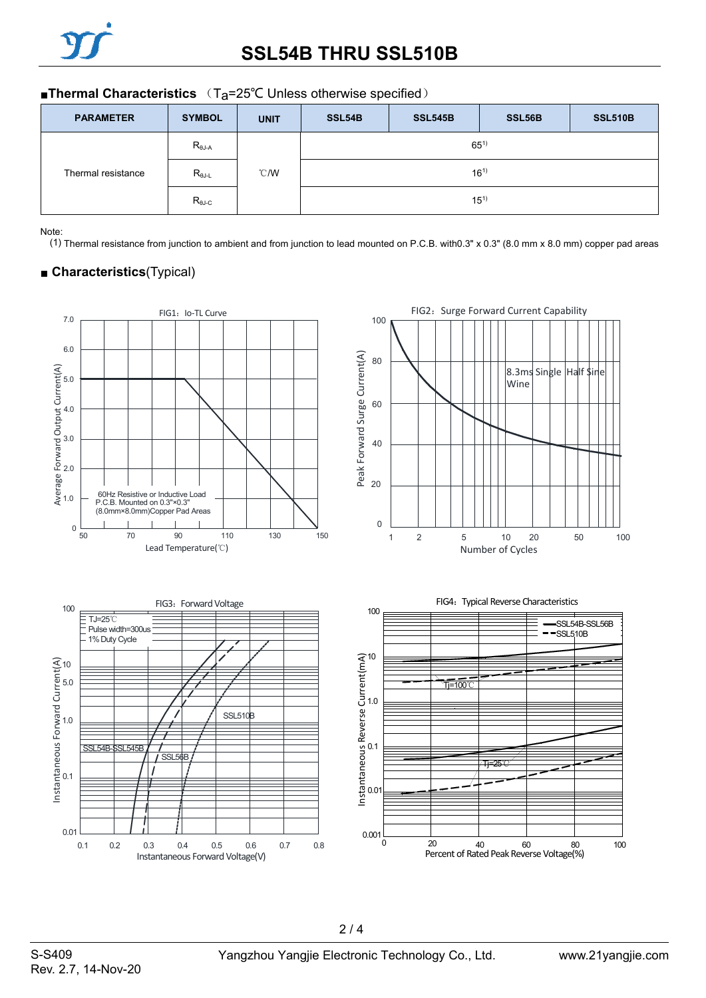### ■**Thermal Characteristics** (T<sub>a</sub>=25°C Unless otherwise specified)

| <b>PARAMETER</b>   | <b>SYMBOL</b>             | <b>UNIT</b>   | SSL54B   | <b>SSL545B</b> | SSL56B | <b>SSL510B</b> |  |
|--------------------|---------------------------|---------------|----------|----------------|--------|----------------|--|
|                    | $R_{\theta J-A}$          |               | $65^{1}$ |                |        |                |  |
| Thermal resistance | $R_{\theta J \text{-} L}$ | $\degree$ C/W |          | $16^{1}$       |        |                |  |
|                    | $R_{\theta\text{J-C}}$    |               | $15^{1}$ |                |        |                |  |

Note:

(1) Thermal resistance from junction to ambient and from junction to lead mounted on P.C.B. with0.3" x 0.3" (8.0 mm x 8.0 mm) copper pad areas

## ■ **Characteristics**(Typical)

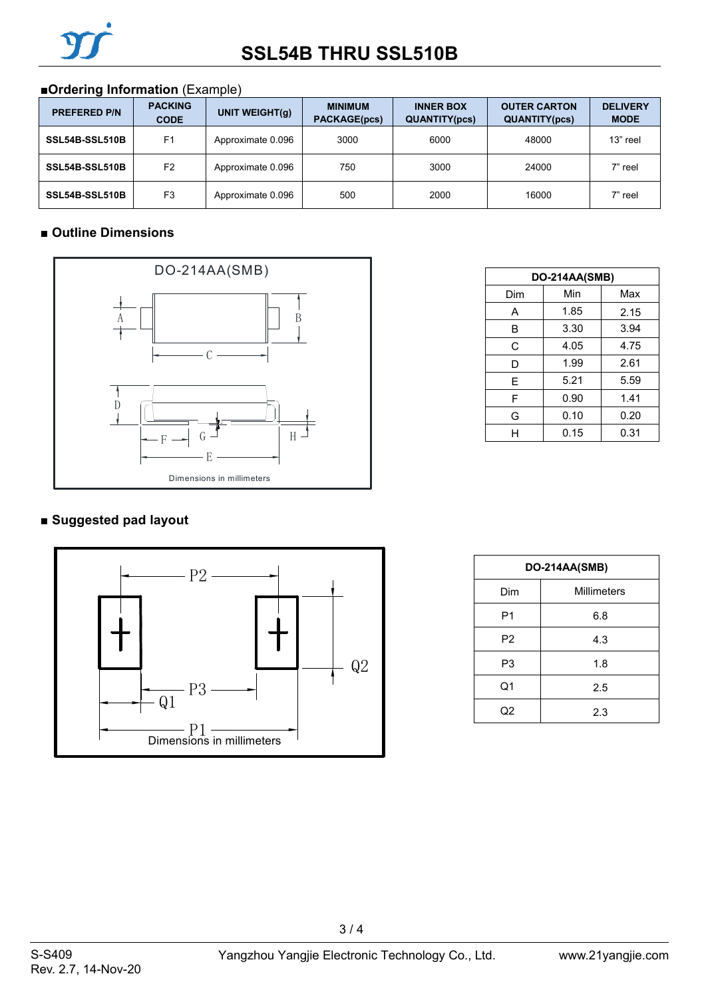## ■**Ordering Information** (Example)

| <b>PREFERED P/N</b> | <b>PACKING</b><br><b>CODE</b> | UNIT WEIGHT(q)    | <b>MINIMUM</b><br><b>PACKAGE(pcs)</b> | <b>INNER BOX</b><br><b>QUANTITY(pcs)</b> | <b>OUTER CARTON</b><br><b>QUANTITY(pcs)</b> | <b>DELIVERY</b><br><b>MODE</b> |
|---------------------|-------------------------------|-------------------|---------------------------------------|------------------------------------------|---------------------------------------------|--------------------------------|
| SSL54B-SSL510B      | F <sub>1</sub>                | Approximate 0.096 | 3000                                  | 6000                                     | 48000                                       | 13" reel                       |
| SSL54B-SSL510B      | F <sub>2</sub>                | Approximate 0.096 | 750                                   | 3000                                     | 24000                                       | 7" reel                        |
| SSL54B-SSL510B      | F <sub>3</sub>                | Approximate 0.096 | 500                                   | 2000                                     | 16000                                       | 7" reel                        |

## ■ **Outline Dimensions**



| DO-214AA(SMB) |      |      |  |  |  |
|---------------|------|------|--|--|--|
| Dim           | Min  | Max  |  |  |  |
| A             | 1.85 | 2.15 |  |  |  |
| B             | 3.30 | 3.94 |  |  |  |
| C             | 4.05 | 4.75 |  |  |  |
| D             | 1.99 | 2.61 |  |  |  |
| E             | 5.21 | 5.59 |  |  |  |
| F             | 0.90 | 1.41 |  |  |  |
| G             | 0.10 | 0.20 |  |  |  |
| н             | 0.15 | 0.31 |  |  |  |

## **■ Suggested pad layout**



| DO-214AA(SMB)  |             |  |  |  |
|----------------|-------------|--|--|--|
| Dim            | Millimeters |  |  |  |
| P1             | 6.8         |  |  |  |
| P <sub>2</sub> | 4.3         |  |  |  |
| P3             | 1.8         |  |  |  |
| Q1             | 2.5         |  |  |  |
| Q2             | 2.3         |  |  |  |

3 / 4